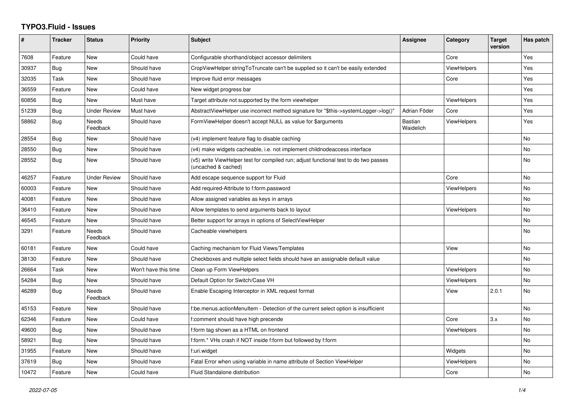## **TYPO3.Fluid - Issues**

| #     | <b>Tracker</b> | <b>Status</b>       | <b>Priority</b>      | <b>Subject</b>                                                                                              | Assignee             | Category           | <b>Target</b><br>version | Has patch |
|-------|----------------|---------------------|----------------------|-------------------------------------------------------------------------------------------------------------|----------------------|--------------------|--------------------------|-----------|
| 7608  | Feature        | New                 | Could have           | Configurable shorthand/object accessor delimiters                                                           |                      | Core               |                          | Yes       |
| 30937 | Bug            | New                 | Should have          | CropViewHelper stringToTruncate can't be supplied so it can't be easily extended                            |                      | <b>ViewHelpers</b> |                          | Yes       |
| 32035 | Task           | New                 | Should have          | Improve fluid error messages                                                                                |                      | Core               |                          | Yes       |
| 36559 | Feature        | New                 | Could have           | New widget progress bar                                                                                     |                      |                    |                          | Yes       |
| 60856 | <b>Bug</b>     | New                 | Must have            | Target attribute not supported by the form viewhelper                                                       |                      | ViewHelpers        |                          | Yes       |
| 51239 | Bug            | <b>Under Review</b> | Must have            | AbstractViewHelper use incorrect method signature for "\$this->systemLogger->log()"                         | Adrian Föder         | Core               |                          | Yes       |
| 58862 | <b>Bug</b>     | Needs<br>Feedback   | Should have          | FormViewHelper doesn't accept NULL as value for \$arguments                                                 | Bastian<br>Waidelich | <b>ViewHelpers</b> |                          | Yes       |
| 28554 | <b>Bug</b>     | New                 | Should have          | (v4) implement feature flag to disable caching                                                              |                      |                    |                          | <b>No</b> |
| 28550 | Bug            | New                 | Should have          | (v4) make widgets cacheable, i.e. not implement childnodeaccess interface                                   |                      |                    |                          | <b>No</b> |
| 28552 | <b>Bug</b>     | New                 | Should have          | (v5) write ViewHelper test for compiled run; adjust functional test to do two passes<br>(uncached & cached) |                      |                    |                          | No        |
| 46257 | Feature        | Under Review        | Should have          | Add escape sequence support for Fluid                                                                       |                      | Core               |                          | <b>No</b> |
| 60003 | Feature        | New                 | Should have          | Add required-Attribute to f:form.password                                                                   |                      | <b>ViewHelpers</b> |                          | <b>No</b> |
| 40081 | Feature        | New                 | Should have          | Allow assigned variables as keys in arrays                                                                  |                      |                    |                          | <b>No</b> |
| 36410 | Feature        | New                 | Should have          | Allow templates to send arguments back to layout                                                            |                      | ViewHelpers        |                          | <b>No</b> |
| 46545 | Feature        | New                 | Should have          | Better support for arrays in options of SelectViewHelper                                                    |                      |                    |                          | <b>No</b> |
| 3291  | Feature        | Needs<br>Feedback   | Should have          | Cacheable viewhelpers                                                                                       |                      |                    |                          | No        |
| 60181 | Feature        | <b>New</b>          | Could have           | Caching mechanism for Fluid Views/Templates                                                                 |                      | View               |                          | <b>No</b> |
| 38130 | Feature        | <b>New</b>          | Should have          | Checkboxes and multiple select fields should have an assignable default value                               |                      |                    |                          | <b>No</b> |
| 26664 | Task           | New                 | Won't have this time | Clean up Form ViewHelpers                                                                                   |                      | ViewHelpers        |                          | No        |
| 54284 | <b>Bug</b>     | New                 | Should have          | Default Option for Switch/Case VH                                                                           |                      | ViewHelpers        |                          | <b>No</b> |
| 46289 | Bug            | Needs<br>Feedback   | Should have          | Enable Escaping Interceptor in XML request format                                                           |                      | View               | 2.0.1                    | No        |
| 45153 | Feature        | New                 | Should have          | f:be.menus.actionMenuItem - Detection of the current select option is insufficient                          |                      |                    |                          | No        |
| 62346 | Feature        | New                 | Could have           | f:comment should have high precende                                                                         |                      | Core               | 3.x                      | <b>No</b> |
| 49600 | Bug            | New                 | Should have          | f:form tag shown as a HTML on frontend                                                                      |                      | ViewHelpers        |                          | No        |
| 58921 | <b>Bug</b>     | New                 | Should have          | f:form.* VHs crash if NOT inside f:form but followed by f:form                                              |                      |                    |                          | No        |
| 31955 | Feature        | New                 | Should have          | f:uri.widget                                                                                                |                      | Widgets            |                          | <b>No</b> |
| 37619 | Bug            | New                 | Should have          | Fatal Error when using variable in name attribute of Section ViewHelper                                     |                      | ViewHelpers        |                          | No        |
| 10472 | Feature        | New                 | Could have           | Fluid Standalone distribution                                                                               |                      | Core               |                          | No        |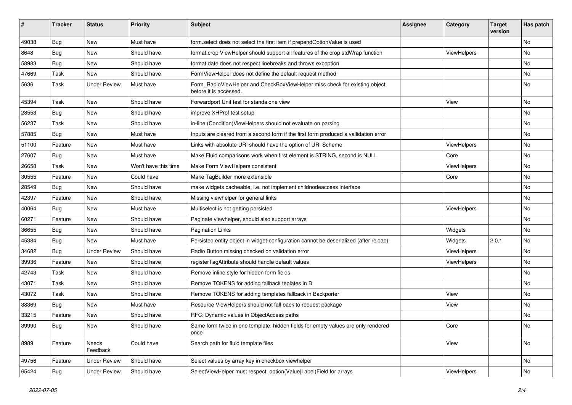| ∦     | <b>Tracker</b> | <b>Status</b>       | <b>Priority</b>      | <b>Subject</b>                                                                                       | <b>Assignee</b> | Category           | <b>Target</b><br>version | Has patch |
|-------|----------------|---------------------|----------------------|------------------------------------------------------------------------------------------------------|-----------------|--------------------|--------------------------|-----------|
| 49038 | Bug            | New                 | Must have            | form.select does not select the first item if prependOptionValue is used                             |                 |                    |                          | No        |
| 8648  | Bug            | New                 | Should have          | format.crop ViewHelper should support all features of the crop stdWrap function                      |                 | <b>ViewHelpers</b> |                          | No        |
| 58983 | Bug            | New                 | Should have          | format.date does not respect linebreaks and throws exception                                         |                 |                    |                          | No        |
| 47669 | Task           | New                 | Should have          | FormViewHelper does not define the default request method                                            |                 |                    |                          | No        |
| 5636  | Task           | <b>Under Review</b> | Must have            | Form_RadioViewHelper and CheckBoxViewHelper miss check for existing object<br>before it is accessed. |                 |                    |                          | No        |
| 45394 | Task           | New                 | Should have          | Forwardport Unit test for standalone view                                                            |                 | View               |                          | No        |
| 28553 | Bug            | New                 | Should have          | improve XHProf test setup                                                                            |                 |                    |                          | No        |
| 56237 | Task           | New                 | Should have          | in-line (Condition) View Helpers should not evaluate on parsing                                      |                 |                    |                          | No        |
| 57885 | Bug            | New                 | Must have            | Inputs are cleared from a second form if the first form produced a vallidation error                 |                 |                    |                          | No        |
| 51100 | Feature        | New                 | Must have            | Links with absolute URI should have the option of URI Scheme                                         |                 | ViewHelpers        |                          | No.       |
| 27607 | <b>Bug</b>     | New                 | Must have            | Make Fluid comparisons work when first element is STRING, second is NULL.                            |                 | Core               |                          | No        |
| 26658 | Task           | New                 | Won't have this time | Make Form ViewHelpers consistent                                                                     |                 | ViewHelpers        |                          | No        |
| 30555 | Feature        | New                 | Could have           | Make TagBuilder more extensible                                                                      |                 | Core               |                          | No        |
| 28549 | Bug            | New                 | Should have          | make widgets cacheable, i.e. not implement childnodeaccess interface                                 |                 |                    |                          | No        |
| 42397 | Feature        | New                 | Should have          | Missing viewhelper for general links                                                                 |                 |                    |                          | No        |
| 40064 | Bug            | New                 | Must have            | Multiselect is not getting persisted                                                                 |                 | ViewHelpers        |                          | No        |
| 60271 | Feature        | New                 | Should have          | Paginate viewhelper, should also support arrays                                                      |                 |                    |                          | No        |
| 36655 | Bug            | <b>New</b>          | Should have          | <b>Pagination Links</b>                                                                              |                 | Widgets            |                          | No        |
| 45384 | Bug            | <b>New</b>          | Must have            | Persisted entity object in widget-configuration cannot be deserialized (after reload)                |                 | Widgets            | 2.0.1                    | No        |
| 34682 | Bug            | <b>Under Review</b> | Should have          | Radio Button missing checked on validation error                                                     |                 | ViewHelpers        |                          | No        |
| 39936 | Feature        | New                 | Should have          | registerTagAttribute should handle default values                                                    |                 | ViewHelpers        |                          | No        |
| 42743 | Task           | New                 | Should have          | Remove inline style for hidden form fields                                                           |                 |                    |                          | No        |
| 43071 | Task           | New                 | Should have          | Remove TOKENS for adding fallback teplates in B                                                      |                 |                    |                          | No        |
| 43072 | Task           | New                 | Should have          | Remove TOKENS for adding templates fallback in Backporter                                            |                 | View               |                          | No        |
| 38369 | Bug            | New                 | Must have            | Resource ViewHelpers should not fall back to request package                                         |                 | View               |                          | No.       |
| 33215 | Feature        | New                 | Should have          | RFC: Dynamic values in ObjectAccess paths                                                            |                 |                    |                          | No        |
| 39990 | Bug            | New                 | Should have          | Same form twice in one template: hidden fields for empty values are only rendered<br>once            |                 | Core               |                          | No        |
| 8989  | Feature        | Needs<br>Feedback   | Could have           | Search path for fluid template files                                                                 |                 | View               |                          | No        |
| 49756 | Feature        | <b>Under Review</b> | Should have          | Select values by array key in checkbox viewhelper                                                    |                 |                    |                          | No        |
| 65424 | <b>Bug</b>     | <b>Under Review</b> | Should have          | SelectViewHelper must respect option(Value Label)Field for arrays                                    |                 | ViewHelpers        |                          | No        |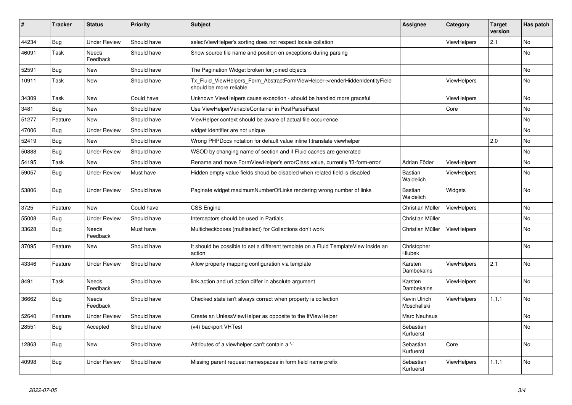| #     | <b>Tracker</b> | <b>Status</b>       | <b>Priority</b> | <b>Subject</b>                                                                                         | Assignee                     | Category           | <b>Target</b><br>version | Has patch |
|-------|----------------|---------------------|-----------------|--------------------------------------------------------------------------------------------------------|------------------------------|--------------------|--------------------------|-----------|
| 44234 | <b>Bug</b>     | <b>Under Review</b> | Should have     | selectViewHelper's sorting does not respect locale collation                                           |                              | ViewHelpers        | 2.1                      | <b>No</b> |
| 46091 | Task           | Needs<br>Feedback   | Should have     | Show source file name and position on exceptions during parsing                                        |                              |                    |                          | <b>No</b> |
| 52591 | <b>Bug</b>     | New                 | Should have     | The Pagination Widget broken for joined objects                                                        |                              |                    |                          | <b>No</b> |
| 10911 | Task           | New                 | Should have     | Tx Fluid ViewHelpers Form AbstractFormViewHelper->renderHiddenIdentityField<br>should be more reliable |                              | <b>ViewHelpers</b> |                          | <b>No</b> |
| 34309 | Task           | New                 | Could have      | Unknown ViewHelpers cause exception - should be handled more graceful                                  |                              | <b>ViewHelpers</b> |                          | No        |
| 3481  | Bug            | New                 | Should have     | Use ViewHelperVariableContainer in PostParseFacet                                                      |                              | Core               |                          | No        |
| 51277 | Feature        | New                 | Should have     | ViewHelper context should be aware of actual file occurrence                                           |                              |                    |                          | No        |
| 47006 | <b>Bug</b>     | <b>Under Review</b> | Should have     | widget identifier are not unique                                                                       |                              |                    |                          | <b>No</b> |
| 52419 | <b>Bug</b>     | New                 | Should have     | Wrong PHPDocs notation for default value inline f:translate viewhelper                                 |                              |                    | 2.0                      | <b>No</b> |
| 50888 | Bug            | Under Review        | Should have     | WSOD by changing name of section and if Fluid caches are generated                                     |                              |                    |                          | No        |
| 54195 | Task           | New                 | Should have     | Rename and move FormViewHelper's errorClass value, currently 'f3-form-error'                           | Adrian Föder                 | ViewHelpers        |                          | No        |
| 59057 | Bug            | <b>Under Review</b> | Must have       | Hidden empty value fields shoud be disabled when related field is disabled                             | <b>Bastian</b><br>Waidelich  | ViewHelpers        |                          | No        |
| 53806 | Bug            | Under Review        | Should have     | Paginate widget maximumNumberOfLinks rendering wrong number of links                                   | Bastian<br>Waidelich         | Widgets            |                          | No        |
| 3725  | Feature        | New                 | Could have      | <b>CSS Engine</b>                                                                                      | Christian Müller             | <b>ViewHelpers</b> |                          | <b>No</b> |
| 55008 | Bug            | Under Review        | Should have     | Interceptors should be used in Partials                                                                | Christian Müller             |                    |                          | <b>No</b> |
| 33628 | <b>Bug</b>     | Needs<br>Feedback   | Must have       | Multicheckboxes (multiselect) for Collections don't work                                               | Christian Müller             | <b>ViewHelpers</b> |                          | <b>No</b> |
| 37095 | Feature        | New                 | Should have     | It should be possible to set a different template on a Fluid TemplateView inside an<br>action          | Christopher<br><b>Hlubek</b> |                    |                          | <b>No</b> |
| 43346 | Feature        | <b>Under Review</b> | Should have     | Allow property mapping configuration via template                                                      | Karsten<br>Dambekalns        | <b>ViewHelpers</b> | 2.1                      | No        |
| 8491  | Task           | Needs<br>Feedback   | Should have     | link action and uri action differ in absolute argument                                                 | Karsten<br>Dambekalns        | <b>ViewHelpers</b> |                          | No        |
| 36662 | <b>Bug</b>     | Needs<br>Feedback   | Should have     | Checked state isn't always correct when property is collection                                         | Kevin Ulrich<br>Moschallski  | <b>ViewHelpers</b> | 1.1.1                    | <b>No</b> |
| 52640 | Feature        | <b>Under Review</b> | Should have     | Create an UnlessViewHelper as opposite to the IfViewHelper                                             | Marc Neuhaus                 |                    |                          | <b>No</b> |
| 28551 | Bug            | Accepted            | Should have     | (v4) backport VHTest                                                                                   | Sebastian<br>Kurfuerst       |                    |                          | No        |
| 12863 | <b>Bug</b>     | New                 | Should have     | Attributes of a viewhelper can't contain a '-'                                                         | Sebastian<br>Kurfuerst       | Core               |                          | No        |
| 40998 | <b>Bug</b>     | <b>Under Review</b> | Should have     | Missing parent request namespaces in form field name prefix                                            | Sebastian<br>Kurfuerst       | <b>ViewHelpers</b> | 1.1.1                    | <b>No</b> |